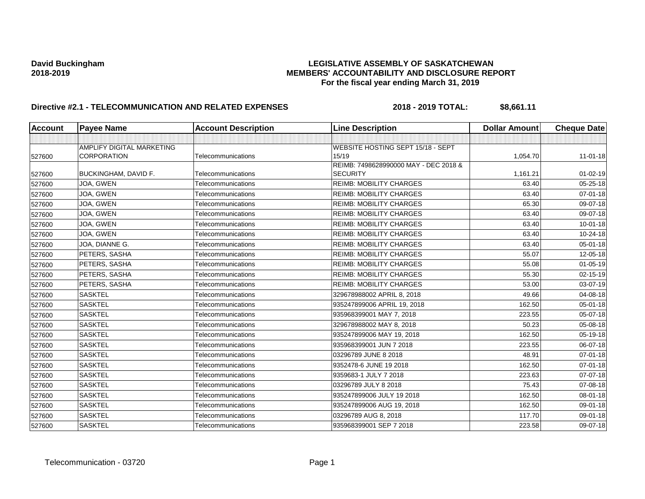| Account | <b>Payee Name</b>         | <b>Account Description</b> | <b>Line Description</b>               | <b>Dollar Amount</b> | <b>Cheque Date</b> |
|---------|---------------------------|----------------------------|---------------------------------------|----------------------|--------------------|
|         |                           |                            |                                       |                      |                    |
|         | AMPLIFY DIGITAL MARKETING |                            | WEBSITE HOSTING SEPT 15/18 - SEPT     |                      |                    |
| 527600  | <b>CORPORATION</b>        | Telecommunications         | 15/19                                 | 1,054.70             | $11 - 01 - 18$     |
|         |                           |                            | REIMB: 7498628990000 MAY - DEC 2018 & |                      |                    |
| 527600  | BUCKINGHAM, DAVID F.      | Telecommunications         | <b>SECURITY</b>                       | 1,161.21             | $01 - 02 - 19$     |
| 527600  | JOA, GWEN                 | Telecommunications         | <b>REIMB: MOBILITY CHARGES</b>        | 63.40                | 05-25-18           |
| 527600  | JOA, GWEN                 | Telecommunications         | <b>REIMB: MOBILITY CHARGES</b>        | 63.40                | 07-01-18           |
| 527600  | JOA, GWEN                 | Telecommunications         | <b>REIMB: MOBILITY CHARGES</b>        | 65.30                | 09-07-18           |
| 527600  | JOA, GWEN                 | Telecommunications         | <b>REIMB: MOBILITY CHARGES</b>        | 63.40                | 09-07-18           |
| 527600  | JOA, GWEN                 | Telecommunications         | <b>REIMB: MOBILITY CHARGES</b>        | 63.40                | $10 - 01 - 18$     |
| 527600  | JOA, GWEN                 | Telecommunications         | <b>REIMB: MOBILITY CHARGES</b>        | 63.40                | 10-24-18           |
| 527600  | JOA, DIANNE G.            | Telecommunications         | <b>REIMB: MOBILITY CHARGES</b>        | 63.40                | 05-01-18           |
| 527600  | PETERS, SASHA             | Telecommunications         | <b>REIMB: MOBILITY CHARGES</b>        | 55.07                | 12-05-18           |
| 527600  | PETERS, SASHA             | Telecommunications         | <b>REIMB: MOBILITY CHARGES</b>        | 55.08                | $01 - 05 - 19$     |
| 527600  | PETERS, SASHA             | Telecommunications         | <b>REIMB: MOBILITY CHARGES</b>        | 55.30                | 02-15-19           |
| 527600  | PETERS, SASHA             | Telecommunications         | <b>REIMB: MOBILITY CHARGES</b>        | 53.00                | 03-07-19           |
| 527600  | <b>SASKTEL</b>            | Telecommunications         | 329678988002 APRIL 8, 2018            | 49.66                | 04-08-18           |
| 527600  | <b>SASKTEL</b>            | Telecommunications         | 935247899006 APRIL 19, 2018           | 162.50               | $05 - 01 - 18$     |
| 527600  | <b>SASKTEL</b>            | Telecommunications         | 935968399001 MAY 7, 2018              | 223.55               | 05-07-18           |
| 527600  | <b>SASKTEL</b>            | Telecommunications         | 329678988002 MAY 8, 2018              | 50.23                | 05-08-18           |
| 527600  | <b>SASKTEL</b>            | Telecommunications         | 935247899006 MAY 19, 2018             | 162.50               | 05-19-18           |
| 527600  | <b>SASKTEL</b>            | Telecommunications         | 935968399001 JUN 7 2018               | 223.55               | 06-07-18           |
| 527600  | <b>SASKTEL</b>            | Telecommunications         | 03296789 JUNE 8 2018                  | 48.91                | 07-01-18           |
| 527600  | <b>SASKTEL</b>            | Telecommunications         | 9352478-6 JUNE 19 2018                | 162.50               | 07-01-18           |
| 527600  | <b>SASKTEL</b>            | Telecommunications         | 9359683-1 JULY 7 2018                 | 223.63               | 07-07-18           |
| 527600  | <b>SASKTEL</b>            | Telecommunications         | 03296789 JULY 8 2018                  | 75.43                | 07-08-18           |
| 527600  | <b>SASKTEL</b>            | Telecommunications         | 935247899006 JULY 19 2018             | 162.50               | 08-01-18           |
| 527600  | <b>SASKTEL</b>            | Telecommunications         | 935247899006 AUG 19, 2018             | 162.50               | $09 - 01 - 18$     |
| 527600  | <b>SASKTEL</b>            | Telecommunications         | 03296789 AUG 8, 2018                  | 117.70               | 09-01-18           |
| 527600  | <b>SASKTEL</b>            | Telecommunications         | 935968399001 SEP 7 2018               | 223.58               | $09-07-18$         |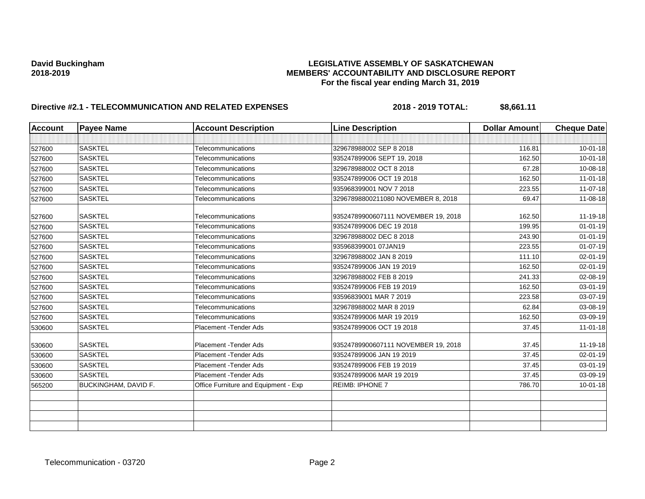| <b>Account</b> | <b>Payee Name</b>    | <b>Account Description</b>           | <b>Line Description</b>             | <b>Dollar Amount</b> | <b>Cheque Date</b> |
|----------------|----------------------|--------------------------------------|-------------------------------------|----------------------|--------------------|
|                |                      |                                      |                                     |                      |                    |
| 527600         | <b>SASKTEL</b>       | Telecommunications                   | 329678988002 SEP 8 2018             | 116.81               | $10 - 01 - 18$     |
| 527600         | <b>SASKTEL</b>       | Telecommunications                   | 935247899006 SEPT 19, 2018          | 162.50               | $10 - 01 - 18$     |
| 527600         | <b>SASKTEL</b>       | Telecommunications                   | 329678988002 OCT 8 2018             | 67.28                | 10-08-18           |
| 527600         | <b>SASKTEL</b>       | Telecommunications                   | 935247899006 OCT 19 2018            | 162.50               | $11 - 01 - 18$     |
| 527600         | <b>SASKTEL</b>       | Telecommunications                   | 935968399001 NOV 7 2018             | 223.55               | 11-07-18           |
| 527600         | <b>SASKTEL</b>       | Telecommunications                   | 32967898800211080 NOVEMBER 8, 2018  | 69.47                | 11-08-18           |
| 527600         | <b>SASKTEL</b>       | Telecommunications                   | 93524789900607111 NOVEMBER 19, 2018 | 162.50               | 11-19-18           |
| 527600         | <b>SASKTEL</b>       | Telecommunications                   | 935247899006 DEC 19 2018            | 199.95               | $01 - 01 - 19$     |
| 527600         | <b>SASKTEL</b>       | Telecommunications                   | 329678988002 DEC 8 2018             | 243.90               | $01 - 01 - 19$     |
| 527600         | <b>SASKTEL</b>       | Telecommunications                   | 935968399001 07JAN19                | 223.55               | $01-07-19$         |
| 527600         | <b>SASKTEL</b>       | Telecommunications                   | 329678988002 JAN 8 2019             | 111.10               | 02-01-19           |
| 527600         | <b>SASKTEL</b>       | Telecommunications                   | 935247899006 JAN 19 2019            | 162.50               | 02-01-19           |
| 527600         | <b>SASKTEL</b>       | Telecommunications                   | 329678988002 FEB 8 2019             | 241.33               | 02-08-19           |
| 527600         | <b>SASKTEL</b>       | Telecommunications                   | 935247899006 FEB 19 2019            | 162.50               | 03-01-19           |
| 527600         | <b>SASKTEL</b>       | Telecommunications                   | 93596839001 MAR 7 2019              | 223.58               | 03-07-19           |
| 527600         | <b>SASKTEL</b>       | Telecommunications                   | 329678988002 MAR 8 2019             | 62.84                | 03-08-19           |
| 527600         | <b>SASKTEL</b>       | Telecommunications                   | 935247899006 MAR 19 2019            | 162.50               | 03-09-19           |
| 530600         | <b>SASKTEL</b>       | Placement - Tender Ads               | 935247899006 OCT 19 2018            | 37.45                | $11 - 01 - 18$     |
| 530600         | <b>SASKTEL</b>       | Placement - Tender Ads               | 93524789900607111 NOVEMBER 19, 2018 | 37.45                | 11-19-18           |
| 530600         | <b>SASKTEL</b>       | Placement - Tender Ads               | 935247899006 JAN 19 2019            | 37.45                | 02-01-19           |
| 530600         | <b>SASKTEL</b>       | Placement - Tender Ads               | 935247899006 FEB 19 2019            | 37.45                | 03-01-19           |
| 530600         | <b>SASKTEL</b>       | Placement - Tender Ads               | 935247899006 MAR 19 2019            | 37.45                | 03-09-19           |
| 565200         | BUCKINGHAM, DAVID F. | Office Furniture and Equipment - Exp | <b>REIMB: IPHONE 7</b>              | 786.70               | $10 - 01 - 18$     |
|                |                      |                                      |                                     |                      |                    |
|                |                      |                                      |                                     |                      |                    |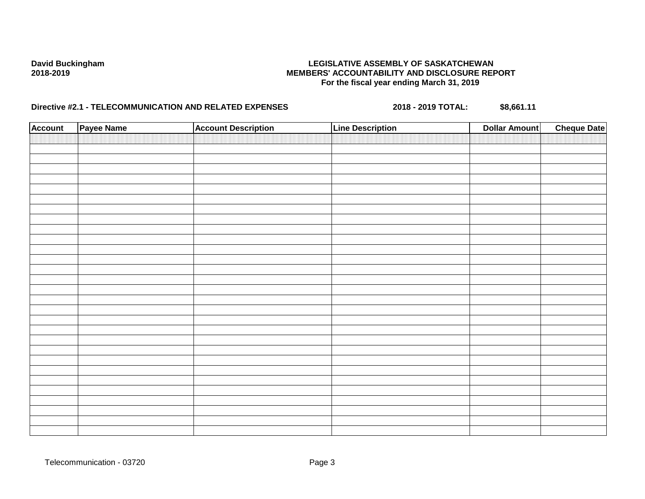| <b>Account</b> | Payee Name | <b>Account Description</b> | <b>Line Description</b> | <b>Dollar Amount</b> | <b>Cheque Date</b> |
|----------------|------------|----------------------------|-------------------------|----------------------|--------------------|
|                |            |                            |                         |                      |                    |
|                |            |                            |                         |                      |                    |
|                |            |                            |                         |                      |                    |
|                |            |                            |                         |                      |                    |
|                |            |                            |                         |                      |                    |
|                |            |                            |                         |                      |                    |
|                |            |                            |                         |                      |                    |
|                |            |                            |                         |                      |                    |
|                |            |                            |                         |                      |                    |
|                |            |                            |                         |                      |                    |
|                |            |                            |                         |                      |                    |
|                |            |                            |                         |                      |                    |
|                |            |                            |                         |                      |                    |
|                |            |                            |                         |                      |                    |
|                |            |                            |                         |                      |                    |
|                |            |                            |                         |                      |                    |
|                |            |                            |                         |                      |                    |
|                |            |                            |                         |                      |                    |
|                |            |                            |                         |                      |                    |
|                |            |                            |                         |                      |                    |
|                |            |                            |                         |                      |                    |
|                |            |                            |                         |                      |                    |
|                |            |                            |                         |                      |                    |
|                |            |                            |                         |                      |                    |
|                |            |                            |                         |                      |                    |
|                |            |                            |                         |                      |                    |
|                |            |                            |                         |                      |                    |
|                |            |                            |                         |                      |                    |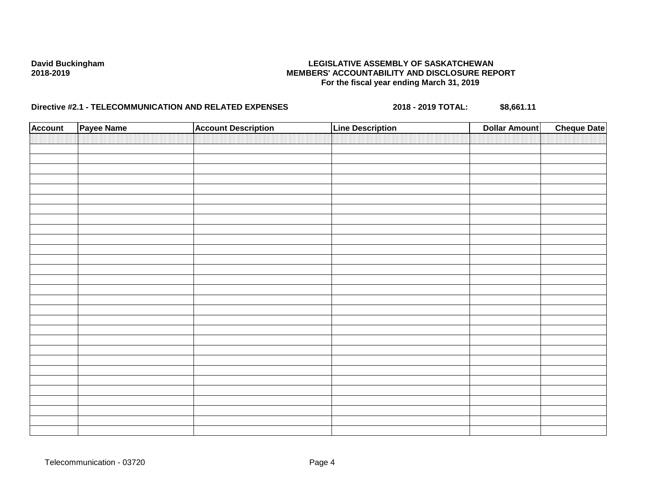| <b>Account</b> | Payee Name | <b>Account Description</b> | <b>Line Description</b> | <b>Dollar Amount</b> | <b>Cheque Date</b> |
|----------------|------------|----------------------------|-------------------------|----------------------|--------------------|
|                |            |                            |                         |                      |                    |
|                |            |                            |                         |                      |                    |
|                |            |                            |                         |                      |                    |
|                |            |                            |                         |                      |                    |
|                |            |                            |                         |                      |                    |
|                |            |                            |                         |                      |                    |
|                |            |                            |                         |                      |                    |
|                |            |                            |                         |                      |                    |
|                |            |                            |                         |                      |                    |
|                |            |                            |                         |                      |                    |
|                |            |                            |                         |                      |                    |
|                |            |                            |                         |                      |                    |
|                |            |                            |                         |                      |                    |
|                |            |                            |                         |                      |                    |
|                |            |                            |                         |                      |                    |
|                |            |                            |                         |                      |                    |
|                |            |                            |                         |                      |                    |
|                |            |                            |                         |                      |                    |
|                |            |                            |                         |                      |                    |
|                |            |                            |                         |                      |                    |
|                |            |                            |                         |                      |                    |
|                |            |                            |                         |                      |                    |
|                |            |                            |                         |                      |                    |
|                |            |                            |                         |                      |                    |
|                |            |                            |                         |                      |                    |
|                |            |                            |                         |                      |                    |
|                |            |                            |                         |                      |                    |
|                |            |                            |                         |                      |                    |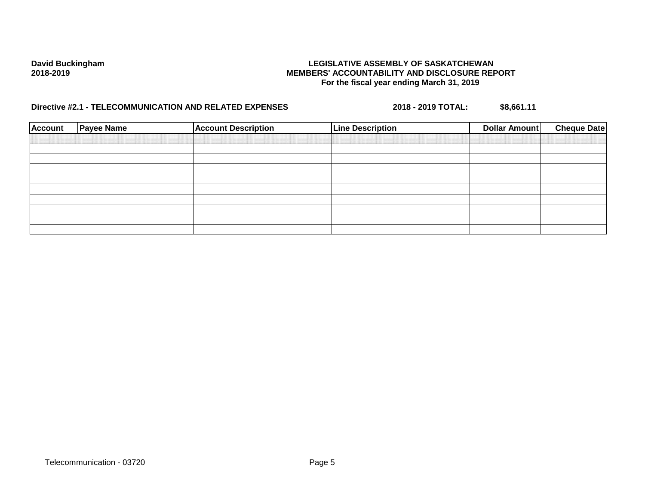| <b>Account</b> | <b>Payee Name</b> | <b>Account Description</b> | <b>Line Description</b> | <b>Cheque Date</b><br><b>Dollar Amount</b> |
|----------------|-------------------|----------------------------|-------------------------|--------------------------------------------|
|                |                   |                            |                         |                                            |
|                |                   |                            |                         |                                            |
|                |                   |                            |                         |                                            |
|                |                   |                            |                         |                                            |
|                |                   |                            |                         |                                            |
|                |                   |                            |                         |                                            |
|                |                   |                            |                         |                                            |
|                |                   |                            |                         |                                            |
|                |                   |                            |                         |                                            |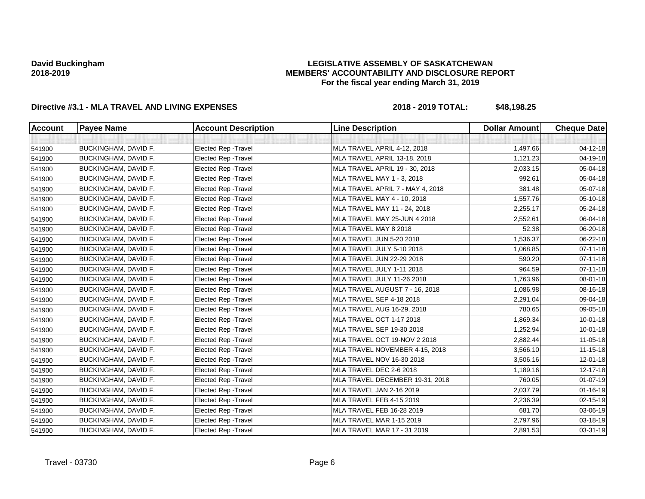## **LEGISLATIVE ASSEMBLY OF SASKATCHEWAN MEMBERS' ACCOUNTABILITY AND DISCLOSURE REPORT For the fiscal year ending March 31, 2019**

| <b>Account</b> | <b>Payee Name</b>           | <b>Account Description</b>  | <b>Line Description</b>          | <b>Dollar Amount</b> | <b>Cheque Date</b> |
|----------------|-----------------------------|-----------------------------|----------------------------------|----------------------|--------------------|
|                |                             |                             |                                  |                      |                    |
| 541900         | <b>BUCKINGHAM, DAVID F.</b> | Elected Rep - Travel        | MLA TRAVEL APRIL 4-12, 2018      | 1,497.66             | 04-12-18           |
| 541900         | BUCKINGHAM, DAVID F.        | Elected Rep - Travel        | MLA TRAVEL APRIL 13-18, 2018     | 1,121.23             | 04-19-18           |
| 541900         | BUCKINGHAM, DAVID F.        | Elected Rep - Travel        | MLA TRAVEL APRIL 19 - 30, 2018   | 2,033.15             | 05-04-18           |
| 541900         | <b>BUCKINGHAM, DAVID F.</b> | Elected Rep - Travel        | MLA TRAVEL MAY 1 - 3, 2018       | 992.61               | 05-04-18           |
| 541900         | <b>BUCKINGHAM, DAVID F.</b> | Elected Rep - Travel        | MLA TRAVEL APRIL 7 - MAY 4, 2018 | 381.48               | 05-07-18           |
| 541900         | <b>BUCKINGHAM, DAVID F.</b> | Elected Rep - Travel        | MLA TRAVEL MAY 4 - 10, 2018      | 1,557.76             | 05-10-18           |
| 541900         | BUCKINGHAM, DAVID F.        | Elected Rep - Travel        | MLA TRAVEL MAY 11 - 24, 2018     | 2,255.17             | 05-24-18           |
| 541900         | BUCKINGHAM, DAVID F.        | Elected Rep - Travel        | MLA TRAVEL MAY 25-JUN 4 2018     | 2,552.61             | 06-04-18           |
| 541900         | BUCKINGHAM, DAVID F.        | Elected Rep - Travel        | MLA TRAVEL MAY 8 2018            | 52.38                | 06-20-18           |
| 541900         | BUCKINGHAM, DAVID F.        | Elected Rep - Travel        | MLA TRAVEL JUN 5-20 2018         | 1,536.37             | 06-22-18           |
| 541900         | <b>BUCKINGHAM, DAVID F.</b> | Elected Rep - Travel        | MLA TRAVEL JULY 5-10 2018        | 1,068.85             | $07 - 11 - 18$     |
| 541900         | <b>BUCKINGHAM, DAVID F.</b> | Elected Rep - Travel        | MLA TRAVEL JUN 22-29 2018        | 590.20               | $07 - 11 - 18$     |
| 541900         | <b>BUCKINGHAM, DAVID F.</b> | Elected Rep - Travel        | MLA TRAVEL JULY 1-11 2018        | 964.59               | $07 - 11 - 18$     |
| 541900         | <b>BUCKINGHAM, DAVID F.</b> | Elected Rep - Travel        | MLA TRAVEL JULY 11-26 2018       | 1,763.96             | 08-01-18           |
| 541900         | BUCKINGHAM, DAVID F.        | Elected Rep - Travel        | MLA TRAVEL AUGUST 7 - 16, 2018   | 1,086.98             | 08-16-18           |
| 541900         | BUCKINGHAM, DAVID F.        | Elected Rep - Travel        | MLA TRAVEL SEP 4-18 2018         | 2,291.04             | 09-04-18           |
| 541900         | BUCKINGHAM, DAVID F.        | Elected Rep - Travel        | MLA TRAVEL AUG 16-29, 2018       | 780.65               | 09-05-18           |
| 541900         | <b>BUCKINGHAM, DAVID F.</b> | <b>Elected Rep - Travel</b> | MLA TRAVEL OCT 1-17 2018         | 1,869.34             | $10 - 01 - 18$     |
| 541900         | <b>BUCKINGHAM, DAVID F.</b> | Elected Rep - Travel        | MLA TRAVEL SEP 19-30 2018        | 1,252.94             | $10 - 01 - 18$     |
| 541900         | BUCKINGHAM, DAVID F.        | Elected Rep - Travel        | MLA TRAVEL OCT 19-NOV 2 2018     | 2,882.44             | $11 - 05 - 18$     |
| 541900         | BUCKINGHAM, DAVID F.        | Elected Rep - Travel        | MLA TRAVEL NOVEMBER 4-15, 2018   | 3,566.10             | 11-15-18           |
| 541900         | BUCKINGHAM, DAVID F.        | Elected Rep - Travel        | MLA TRAVEL NOV 16-30 2018        | 3,506.16             | $12 - 01 - 18$     |
| 541900         | BUCKINGHAM, DAVID F.        | Elected Rep - Travel        | MLA TRAVEL DEC 2-6 2018          | 1,189.16             | 12-17-18           |
| 541900         | BUCKINGHAM, DAVID F.        | Elected Rep - Travel        | MLA TRAVEL DECEMBER 19-31, 2018  | 760.05               | $01-07-19$         |
| 541900         | <b>BUCKINGHAM, DAVID F.</b> | Elected Rep - Travel        | MLA TRAVEL JAN 2-16 2019         | 2,037.79             | $01 - 16 - 19$     |
| 541900         | <b>BUCKINGHAM, DAVID F.</b> | Elected Rep - Travel        | MLA TRAVEL FEB 4-15 2019         | 2,236.39             | $02 - 15 - 19$     |
| 541900         | BUCKINGHAM, DAVID F.        | Elected Rep - Travel        | MLA TRAVEL FEB 16-28 2019        | 681.70               | 03-06-19           |
| 541900         | BUCKINGHAM, DAVID F.        | Elected Rep - Travel        | MLA TRAVEL MAR 1-15 2019         | 2,797.96             | 03-18-19           |
| 541900         | BUCKINGHAM, DAVID F.        | Elected Rep - Travel        | MLA TRAVEL MAR 17 - 31 2019      | 2,891.53             | 03-31-19           |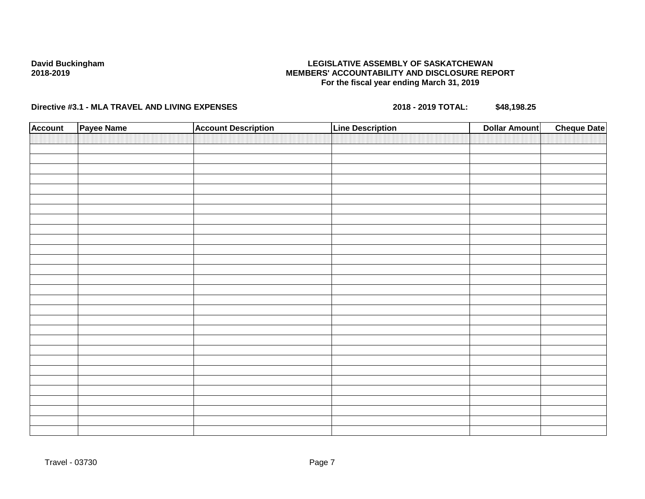## **LEGISLATIVE ASSEMBLY OF SASKATCHEWAN MEMBERS' ACCOUNTABILITY AND DISCLOSURE REPORT For the fiscal year ending March 31, 2019**

| <b>Account</b> | Payee Name | <b>Account Description</b> | <b>Line Description</b> | <b>Dollar Amount</b> | <b>Cheque Date</b> |
|----------------|------------|----------------------------|-------------------------|----------------------|--------------------|
|                |            |                            |                         |                      |                    |
|                |            |                            |                         |                      |                    |
|                |            |                            |                         |                      |                    |
|                |            |                            |                         |                      |                    |
|                |            |                            |                         |                      |                    |
|                |            |                            |                         |                      |                    |
|                |            |                            |                         |                      |                    |
|                |            |                            |                         |                      |                    |
|                |            |                            |                         |                      |                    |
|                |            |                            |                         |                      |                    |
|                |            |                            |                         |                      |                    |
|                |            |                            |                         |                      |                    |
|                |            |                            |                         |                      |                    |
|                |            |                            |                         |                      |                    |
|                |            |                            |                         |                      |                    |
|                |            |                            |                         |                      |                    |
|                |            |                            |                         |                      |                    |
|                |            |                            |                         |                      |                    |
|                |            |                            |                         |                      |                    |
|                |            |                            |                         |                      |                    |
|                |            |                            |                         |                      |                    |
|                |            |                            |                         |                      |                    |
|                |            |                            |                         |                      |                    |
|                |            |                            |                         |                      |                    |
|                |            |                            |                         |                      |                    |
|                |            |                            |                         |                      |                    |
|                |            |                            |                         |                      |                    |
|                |            |                            |                         |                      |                    |
|                |            |                            |                         |                      |                    |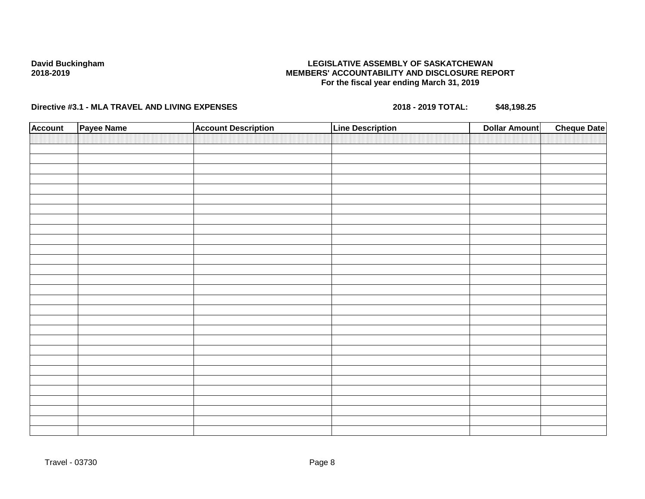## **LEGISLATIVE ASSEMBLY OF SASKATCHEWAN MEMBERS' ACCOUNTABILITY AND DISCLOSURE REPORT For the fiscal year ending March 31, 2019**

| <b>Account</b> | Payee Name | <b>Account Description</b> | <b>Line Description</b> | <b>Cheque Date</b><br><b>Dollar Amount</b> |
|----------------|------------|----------------------------|-------------------------|--------------------------------------------|
|                |            |                            |                         |                                            |
|                |            |                            |                         |                                            |
|                |            |                            |                         |                                            |
|                |            |                            |                         |                                            |
|                |            |                            |                         |                                            |
|                |            |                            |                         |                                            |
|                |            |                            |                         |                                            |
|                |            |                            |                         |                                            |
|                |            |                            |                         |                                            |
|                |            |                            |                         |                                            |
|                |            |                            |                         |                                            |
|                |            |                            |                         |                                            |
|                |            |                            |                         |                                            |
|                |            |                            |                         |                                            |
|                |            |                            |                         |                                            |
|                |            |                            |                         |                                            |
|                |            |                            |                         |                                            |
|                |            |                            |                         |                                            |
|                |            |                            |                         |                                            |
|                |            |                            |                         |                                            |
|                |            |                            |                         |                                            |
|                |            |                            |                         |                                            |
|                |            |                            |                         |                                            |
|                |            |                            |                         |                                            |
|                |            |                            |                         |                                            |
|                |            |                            |                         |                                            |
|                |            |                            |                         |                                            |
|                |            |                            |                         |                                            |
|                |            |                            |                         |                                            |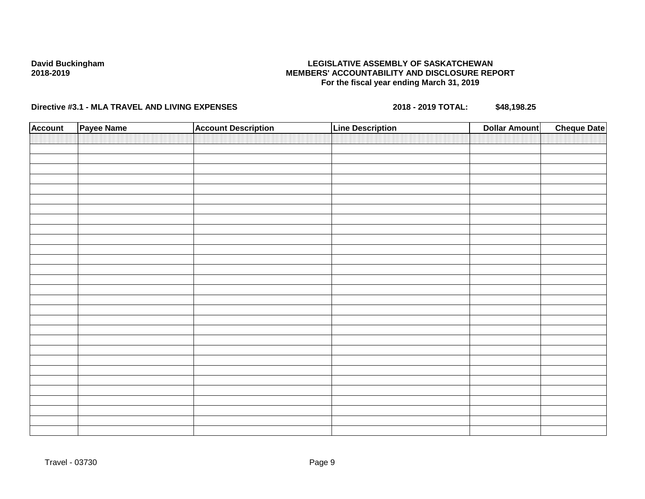## **LEGISLATIVE ASSEMBLY OF SASKATCHEWAN MEMBERS' ACCOUNTABILITY AND DISCLOSURE REPORT For the fiscal year ending March 31, 2019**

| <b>Account</b> | Payee Name | <b>Account Description</b> | <b>Line Description</b> | <b>Cheque Date</b><br><b>Dollar Amount</b> |
|----------------|------------|----------------------------|-------------------------|--------------------------------------------|
|                |            |                            |                         |                                            |
|                |            |                            |                         |                                            |
|                |            |                            |                         |                                            |
|                |            |                            |                         |                                            |
|                |            |                            |                         |                                            |
|                |            |                            |                         |                                            |
|                |            |                            |                         |                                            |
|                |            |                            |                         |                                            |
|                |            |                            |                         |                                            |
|                |            |                            |                         |                                            |
|                |            |                            |                         |                                            |
|                |            |                            |                         |                                            |
|                |            |                            |                         |                                            |
|                |            |                            |                         |                                            |
|                |            |                            |                         |                                            |
|                |            |                            |                         |                                            |
|                |            |                            |                         |                                            |
|                |            |                            |                         |                                            |
|                |            |                            |                         |                                            |
|                |            |                            |                         |                                            |
|                |            |                            |                         |                                            |
|                |            |                            |                         |                                            |
|                |            |                            |                         |                                            |
|                |            |                            |                         |                                            |
|                |            |                            |                         |                                            |
|                |            |                            |                         |                                            |
|                |            |                            |                         |                                            |
|                |            |                            |                         |                                            |
|                |            |                            |                         |                                            |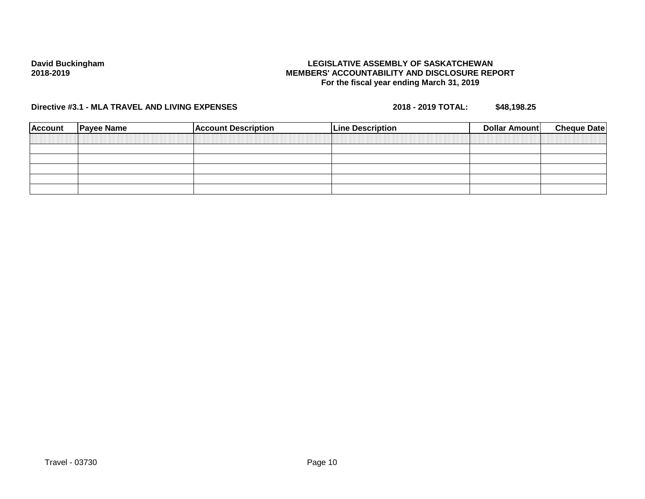## **LEGISLATIVE ASSEMBLY OF SASKATCHEWAN MEMBERS' ACCOUNTABILITY AND DISCLOSURE REPORT For the fiscal year ending March 31, 2019**

| <b>Account</b> | <b>Payee Name</b> | <b>Account Description</b> | <b>Line Description</b> | Dollar Amount | <b>Cheque Date</b> |
|----------------|-------------------|----------------------------|-------------------------|---------------|--------------------|
|                |                   |                            |                         |               |                    |
|                |                   |                            |                         |               |                    |
|                |                   |                            |                         |               |                    |
|                |                   |                            |                         |               |                    |
|                |                   |                            |                         |               |                    |
|                |                   |                            |                         |               |                    |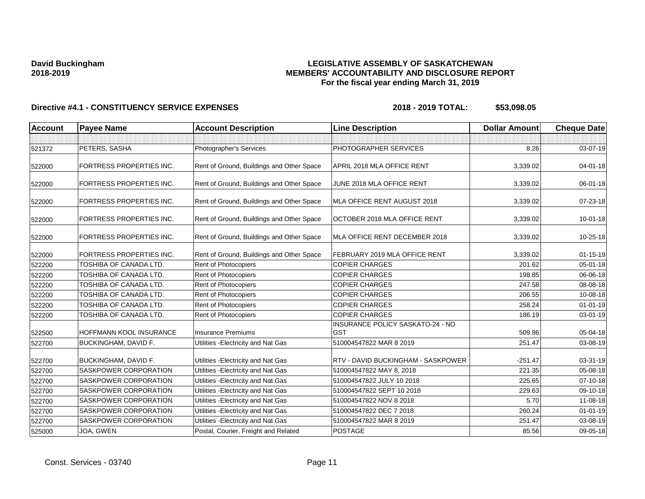## **LEGISLATIVE ASSEMBLY OF SASKATCHEWAN MEMBERS' ACCOUNTABILITY AND DISCLOSURE REPORT For the fiscal year ending March 31, 2019**

| <b>Account</b> | <b>Payee Name</b>               | <b>Account Description</b>                | <b>Line Description</b>                        | <b>Dollar Amount</b> | <b>Cheque Date</b> |
|----------------|---------------------------------|-------------------------------------------|------------------------------------------------|----------------------|--------------------|
|                |                                 |                                           |                                                |                      |                    |
| 521372         | PETERS, SASHA                   | Photographer's Services                   | PHOTOGRAPHER SERVICES                          | 8.26                 | 03-07-19           |
| 522000         | <b>FORTRESS PROPERTIES INC.</b> | Rent of Ground, Buildings and Other Space | APRIL 2018 MLA OFFICE RENT                     | 3,339.02             | $04 - 01 - 18$     |
| 522000         | <b>FORTRESS PROPERTIES INC.</b> | Rent of Ground, Buildings and Other Space | JUNE 2018 MLA OFFICE RENT                      | 3,339.02             | 06-01-18           |
| 522000         | FORTRESS PROPERTIES INC.        | Rent of Ground, Buildings and Other Space | MLA OFFICE RENT AUGUST 2018                    | 3,339.02             | 07-23-18           |
| 522000         | <b>FORTRESS PROPERTIES INC.</b> | Rent of Ground, Buildings and Other Space | OCTOBER 2018 MLA OFFICE RENT                   | 3,339.02             | $10 - 01 - 18$     |
| 522000         | <b>FORTRESS PROPERTIES INC.</b> | Rent of Ground, Buildings and Other Space | MLA OFFICE RENT DECEMBER 2018                  | 3,339.02             | 10-25-18           |
| 522000         | <b>FORTRESS PROPERTIES INC.</b> | Rent of Ground, Buildings and Other Space | FEBRUARY 2019 MLA OFFICE RENT                  | 3,339.02             | $01 - 15 - 19$     |
| 522200         | TOSHIBA OF CANADA LTD.          | Rent of Photocopiers                      | <b>COPIER CHARGES</b>                          | 201.62               | 05-01-18           |
| 522200         | TOSHIBA OF CANADA LTD.          | Rent of Photocopiers                      | <b>COPIER CHARGES</b>                          | 198.85               | 06-06-18           |
| 522200         | TOSHIBA OF CANADA LTD.          | Rent of Photocopiers                      | <b>COPIER CHARGES</b>                          | 247.58               | 08-08-18           |
| 522200         | TOSHIBA OF CANADA LTD.          | Rent of Photocopiers                      | <b>COPIER CHARGES</b>                          | 206.55               | 10-08-18           |
| 522200         | TOSHIBA OF CANADA LTD.          | Rent of Photocopiers                      | <b>COPIER CHARGES</b>                          | 258.24               | $01 - 01 - 19$     |
| 522200         | TOSHIBA OF CANADA LTD.          | Rent of Photocopiers                      | <b>COPIER CHARGES</b>                          | 186.19               | 03-01-19           |
| 522500         | HOFFMANN KOOL INSURANCE         | <b>Insurance Premiums</b>                 | INSURANCE POLICY SASKATO-24 - NO<br><b>GST</b> | 509.86               | 05-04-18           |
| 522700         | <b>BUCKINGHAM, DAVID F.</b>     | Utilities - Electricity and Nat Gas       | 510004547822 MAR 8 2019                        | 251.47               | 03-08-19           |
| 522700         | <b>BUCKINGHAM, DAVID F.</b>     | Utilities - Electricity and Nat Gas       | RTV - DAVID BUCKINGHAM - SASKPOWER             | $-251.47$            | 03-31-19           |
| 522700         | <b>SASKPOWER CORPORATION</b>    | Utilities - Electricity and Nat Gas       | 510004547822 MAY 8, 2018                       | 221.35               | 05-08-18           |
| 522700         | <b>SASKPOWER CORPORATION</b>    | Utilities - Electricity and Nat Gas       | 510004547822 JULY 10 2018                      | 225.65               | 07-10-18           |
| 522700         | SASKPOWER CORPORATION           | Utilities - Electricity and Nat Gas       | 510004547822 SEPT 10 2018                      | 229.63               | 09-10-18           |
| 522700         | SASKPOWER CORPORATION           | Utilities - Electricity and Nat Gas       | 510004547822 NOV 8 2018                        | 5.70                 | 11-08-18           |
| 522700         | SASKPOWER CORPORATION           | Utilities - Electricity and Nat Gas       | 510004547822 DEC 7 2018                        | 260.24               | $01 - 01 - 19$     |
| 522700         | <b>SASKPOWER CORPORATION</b>    | Utilities - Electricity and Nat Gas       | 510004547822 MAR 8 2019                        | 251.47               | 03-08-19           |
| 525000         | JOA, GWEN                       | Postal, Courier, Freight and Related      | <b>POSTAGE</b>                                 | 85.56                | 09-05-18           |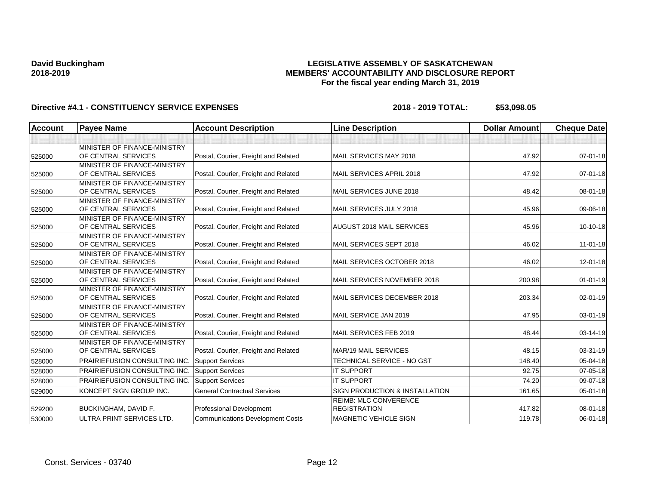## **LEGISLATIVE ASSEMBLY OF SASKATCHEWAN MEMBERS' ACCOUNTABILITY AND DISCLOSURE REPORT For the fiscal year ending March 31, 2019**

| Account | <b>Payee Name</b>                                   | <b>Account Description</b>              | <b>Line Description</b>        | <b>Dollar Amount</b> | <b>Cheque Date</b> |
|---------|-----------------------------------------------------|-----------------------------------------|--------------------------------|----------------------|--------------------|
|         |                                                     |                                         |                                |                      |                    |
|         | MINISTER OF FINANCE-MINISTRY                        |                                         |                                |                      |                    |
| 525000  | OF CENTRAL SERVICES                                 | Postal, Courier, Freight and Related    | MAIL SERVICES MAY 2018         | 47.92                | $07 - 01 - 18$     |
|         | MINISTER OF FINANCE-MINISTRY                        |                                         |                                |                      |                    |
| 525000  | OF CENTRAL SERVICES                                 | Postal, Courier, Freight and Related    | MAIL SERVICES APRIL 2018       | 47.92                | $07 - 01 - 18$     |
|         | MINISTER OF FINANCE-MINISTRY                        |                                         |                                |                      |                    |
| 525000  | OF CENTRAL SERVICES                                 | Postal, Courier, Freight and Related    | MAIL SERVICES JUNE 2018        | 48.42                | 08-01-18           |
|         | MINISTER OF FINANCE-MINISTRY                        |                                         |                                |                      |                    |
| 525000  | OF CENTRAL SERVICES                                 | Postal, Courier, Freight and Related    | MAIL SERVICES JULY 2018        | 45.96                | 09-06-18           |
|         | MINISTER OF FINANCE-MINISTRY                        |                                         |                                |                      |                    |
| 525000  | OF CENTRAL SERVICES                                 | Postal, Courier, Freight and Related    | AUGUST 2018 MAIL SERVICES      | 45.96                | 10-10-18           |
|         | MINISTER OF FINANCE-MINISTRY                        |                                         |                                |                      |                    |
| 525000  | OF CENTRAL SERVICES                                 | Postal, Courier, Freight and Related    | MAIL SERVICES SEPT 2018        | 46.02                | $11 - 01 - 18$     |
|         | MINISTER OF FINANCE-MINISTRY                        |                                         |                                |                      |                    |
| 525000  | OF CENTRAL SERVICES                                 | Postal, Courier, Freight and Related    | MAIL SERVICES OCTOBER 2018     | 46.02                | $12 - 01 - 18$     |
|         | MINISTER OF FINANCE-MINISTRY                        |                                         |                                |                      |                    |
| 525000  | OF CENTRAL SERVICES                                 | Postal, Courier, Freight and Related    | MAIL SERVICES NOVEMBER 2018    | 200.98               | $01 - 01 - 19$     |
|         | MINISTER OF FINANCE-MINISTRY                        |                                         |                                |                      |                    |
| 525000  | OF CENTRAL SERVICES                                 | Postal, Courier, Freight and Related    | MAIL SERVICES DECEMBER 2018    | 203.34               | $02 - 01 - 19$     |
|         | MINISTER OF FINANCE-MINISTRY<br>OF CENTRAL SERVICES |                                         | MAIL SERVICE JAN 2019          | 47.95                | 03-01-19           |
| 525000  |                                                     | Postal, Courier, Freight and Related    |                                |                      |                    |
|         | MINISTER OF FINANCE-MINISTRY<br>OF CENTRAL SERVICES | Postal, Courier, Freight and Related    | MAIL SERVICES FEB 2019         | 48.44                | 03-14-19           |
| 525000  | MINISTER OF FINANCE-MINISTRY                        |                                         |                                |                      |                    |
| 525000  | OF CENTRAL SERVICES                                 | Postal, Courier, Freight and Related    | <b>MAR/19 MAIL SERVICES</b>    | 48.15                | 03-31-19           |
|         | <b>PRAIRIEFUSION CONSULTING INC.</b>                | <b>Support Services</b>                 | TECHNICAL SERVICE - NO GST     | 148.40               | 05-04-18           |
| 528000  |                                                     |                                         |                                |                      |                    |
| 528000  | PRAIRIEFUSION CONSULTING INC.                       | <b>Support Services</b>                 | <b>IT SUPPORT</b>              | 92.75                | 07-05-18           |
| 528000  | PRAIRIEFUSION CONSULTING INC.                       | <b>Support Services</b>                 | <b>IT SUPPORT</b>              | 74.20                | 09-07-18           |
| 529000  | KONCEPT SIGN GROUP INC.                             | <b>General Contractual Services</b>     | SIGN PRODUCTION & INSTALLATION | 161.65               | 05-01-18           |
|         |                                                     |                                         | <b>REIMB: MLC CONVERENCE</b>   |                      |                    |
| 529200  | <b>BUCKINGHAM, DAVID F.</b>                         | Professional Development                | <b>REGISTRATION</b>            | 417.82               | 08-01-18           |
| 530000  | ULTRA PRINT SERVICES LTD.                           | <b>Communications Development Costs</b> | <b>MAGNETIC VEHICLE SIGN</b>   | 119.78               | 06-01-18           |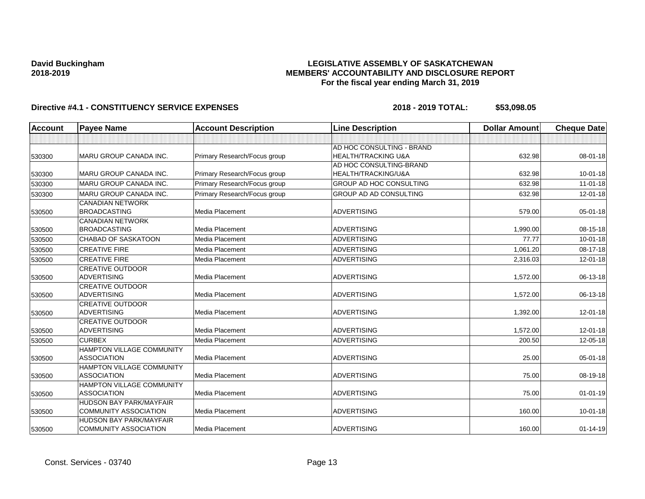## **LEGISLATIVE ASSEMBLY OF SASKATCHEWAN MEMBERS' ACCOUNTABILITY AND DISCLOSURE REPORT For the fiscal year ending March 31, 2019**

| <b>Account</b> | <b>Payee Name</b>                                              | <b>Account Description</b>   | <b>Line Description</b>                                     | <b>Dollar Amount</b> | <b>Cheque Date</b> |
|----------------|----------------------------------------------------------------|------------------------------|-------------------------------------------------------------|----------------------|--------------------|
|                |                                                                |                              |                                                             |                      |                    |
| 530300         | MARU GROUP CANADA INC.                                         | Primary Research/Focus group | AD HOC CONSULTING - BRAND<br><b>HEALTH/TRACKING U&amp;A</b> | 632.98               | 08-01-18           |
| 530300         | MARU GROUP CANADA INC.                                         | Primary Research/Focus group | AD HOC CONSULTING-BRAND<br>HEALTH/TRACKING/U&A              | 632.98               | $10 - 01 - 18$     |
| 530300         | MARU GROUP CANADA INC.                                         | Primary Research/Focus group | <b>GROUP AD HOC CONSULTING</b>                              | 632.98               | $11-01-18$         |
| 530300         | MARU GROUP CANADA INC.                                         | Primary Research/Focus group | <b>GROUP AD AD CONSULTING</b>                               | 632.98               | 12-01-18           |
| 530500         | <b>CANADIAN NETWORK</b><br><b>BROADCASTING</b>                 | Media Placement              | <b>ADVERTISING</b>                                          | 579.00               | 05-01-18           |
| 530500         | <b>CANADIAN NETWORK</b><br><b>BROADCASTING</b>                 | Media Placement              | <b>ADVERTISING</b>                                          | 1,990.00             | 08-15-18           |
| 530500         | <b>CHABAD OF SASKATOON</b>                                     | Media Placement              | <b>ADVERTISING</b>                                          | 77.77                | $10 - 01 - 18$     |
| 530500         | <b>CREATIVE FIRE</b>                                           | Media Placement              | <b>ADVERTISING</b>                                          | 1,061.20             | 08-17-18           |
| 530500         | <b>CREATIVE FIRE</b>                                           | Media Placement              | <b>ADVERTISING</b>                                          | 2,316.03             | 12-01-18           |
| 530500         | <b>CREATIVE OUTDOOR</b><br><b>ADVERTISING</b>                  | Media Placement              | <b>ADVERTISING</b>                                          | 1,572.00             | 06-13-18           |
| 530500         | <b>CREATIVE OUTDOOR</b><br><b>ADVERTISING</b>                  | Media Placement              | <b>ADVERTISING</b>                                          | 1,572.00             | 06-13-18           |
| 530500         | <b>CREATIVE OUTDOOR</b><br><b>ADVERTISING</b>                  | Media Placement              | <b>ADVERTISING</b>                                          | 1,392.00             | 12-01-18           |
| 530500         | <b>CREATIVE OUTDOOR</b><br><b>ADVERTISING</b>                  | Media Placement              | <b>ADVERTISING</b>                                          | 1,572.00             | 12-01-18           |
| 530500         | <b>CURBEX</b>                                                  | Media Placement              | <b>ADVERTISING</b>                                          | 200.50               | 12-05-18           |
| 530500         | <b>HAMPTON VILLAGE COMMUNITY</b><br><b>ASSOCIATION</b>         | Media Placement              | <b>ADVERTISING</b>                                          | 25.00                | 05-01-18           |
| 530500         | <b>HAMPTON VILLAGE COMMUNITY</b><br><b>ASSOCIATION</b>         | Media Placement              | <b>ADVERTISING</b>                                          | 75.00                | 08-19-18           |
| 530500         | HAMPTON VILLAGE COMMUNITY<br><b>ASSOCIATION</b>                | Media Placement              | <b>ADVERTISING</b>                                          | 75.00                | $01 - 01 - 19$     |
| 530500         | <b>HUDSON BAY PARK/MAYFAIR</b><br><b>COMMUNITY ASSOCIATION</b> | Media Placement              | <b>ADVERTISING</b>                                          | 160.00               | $10 - 01 - 18$     |
| 530500         | <b>HUDSON BAY PARK/MAYFAIR</b><br><b>COMMUNITY ASSOCIATION</b> | Media Placement              | <b>ADVERTISING</b>                                          | 160.00               | $01 - 14 - 19$     |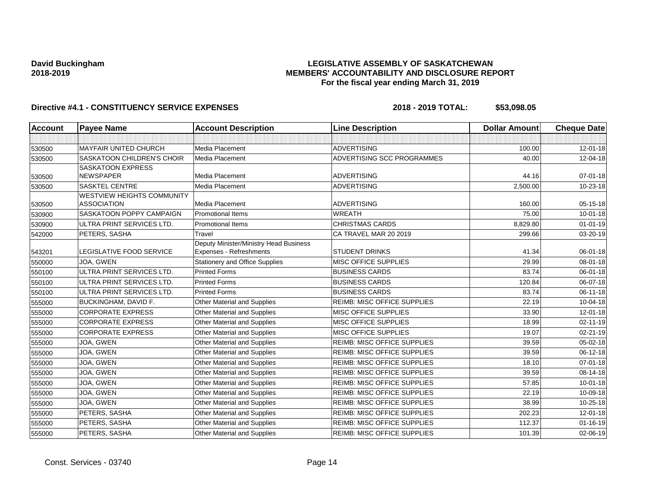## **LEGISLATIVE ASSEMBLY OF SASKATCHEWAN MEMBERS' ACCOUNTABILITY AND DISCLOSURE REPORT For the fiscal year ending March 31, 2019**

| <b>Account</b> | <b>Payee Name</b>                 | <b>Account Description</b>             | <b>Line Description</b>            | <b>Dollar Amount</b> | <b>Cheque Date</b> |
|----------------|-----------------------------------|----------------------------------------|------------------------------------|----------------------|--------------------|
|                |                                   |                                        |                                    |                      |                    |
| 530500         | <b>MAYFAIR UNITED CHURCH</b>      | Media Placement                        | <b>ADVERTISING</b>                 | 100.00               | $12 - 01 - 18$     |
| 530500         | <b>SASKATOON CHILDREN'S CHOIR</b> | Media Placement                        | ADVERTISING SCC PROGRAMMES         | 40.00                | 12-04-18           |
|                | <b>SASKATOON EXPRESS</b>          |                                        |                                    |                      |                    |
| 530500         | <b>NEWSPAPER</b>                  | Media Placement                        | <b>ADVERTISING</b>                 | 44.16                | $07 - 01 - 18$     |
| 530500         | <b>SASKTEL CENTRE</b>             | Media Placement                        | <b>ADVERTISING</b>                 | 2,500.00             | 10-23-18           |
|                | <b>WESTVIEW HEIGHTS COMMUNITY</b> |                                        |                                    |                      |                    |
| 530500         | <b>ASSOCIATION</b>                | Media Placement                        | <b>ADVERTISING</b>                 | 160.00               | 05-15-18           |
| 530900         | SASKATOON POPPY CAMPAIGN          | <b>Promotional Items</b>               | <b>WREATH</b>                      | 75.00                | $10 - 01 - 18$     |
| 530900         | ULTRA PRINT SERVICES LTD.         | <b>Promotional Items</b>               | <b>CHRISTMAS CARDS</b>             | 8,829.80             | $01 - 01 - 19$     |
| 542000         | PETERS, SASHA                     | Travel                                 | CA TRAVEL MAR 20 2019              | 299.66               | 03-20-19           |
|                |                                   | Deputy Minister/Ministry Head Business |                                    |                      |                    |
| 543201         | LEGISLATIVE FOOD SERVICE          | Expenses - Refreshments                | <b>STUDENT DRINKS</b>              | 41.34                | $06 - 01 - 18$     |
| 550000         | JOA, GWEN                         | <b>Stationery and Office Supplies</b>  | <b>MISC OFFICE SUPPLIES</b>        | 29.99                | $08 - 01 - 18$     |
| 550100         | ULTRA PRINT SERVICES LTD.         | <b>Printed Forms</b>                   | <b>BUSINESS CARDS</b>              | 83.74                | 06-01-18           |
| 550100         | ULTRA PRINT SERVICES LTD.         | <b>Printed Forms</b>                   | <b>BUSINESS CARDS</b>              | 120.84               | 06-07-18           |
| 550100         | ULTRA PRINT SERVICES LTD.         | <b>Printed Forms</b>                   | <b>BUSINESS CARDS</b>              | 83.74                | 06-11-18           |
| 555000         | <b>BUCKINGHAM, DAVID F.</b>       | Other Material and Supplies            | <b>REIMB: MISC OFFICE SUPPLIES</b> | 22.19                | 10-04-18           |
| 555000         | <b>CORPORATE EXPRESS</b>          | <b>Other Material and Supplies</b>     | <b>MISC OFFICE SUPPLIES</b>        | 33.90                | $12 - 01 - 18$     |
| 555000         | <b>CORPORATE EXPRESS</b>          | Other Material and Supplies            | MISC OFFICE SUPPLIES               | 18.99                | 02-11-19           |
| 555000         | <b>CORPORATE EXPRESS</b>          | Other Material and Supplies            | MISC OFFICE SUPPLIES               | 19.07                | 02-21-19           |
| 555000         | JOA, GWEN                         | Other Material and Supplies            | <b>REIMB: MISC OFFICE SUPPLIES</b> | 39.59                | 05-02-18           |
| 555000         | JOA, GWEN                         | Other Material and Supplies            | <b>REIMB: MISC OFFICE SUPPLIES</b> | 39.59                | $06-12-18$         |
| 555000         | JOA, GWEN                         | <b>Other Material and Supplies</b>     | <b>REIMB: MISC OFFICE SUPPLIES</b> | 18.10                | $07 - 01 - 18$     |
| 555000         | JOA, GWEN                         | Other Material and Supplies            | <b>REIMB: MISC OFFICE SUPPLIES</b> | 39.59                | 08-14-18           |
| 555000         | JOA, GWEN                         | Other Material and Supplies            | <b>REIMB: MISC OFFICE SUPPLIES</b> | 57.85                | $10 - 01 - 18$     |
| 555000         | JOA, GWEN                         | Other Material and Supplies            | <b>REIMB: MISC OFFICE SUPPLIES</b> | 22.19                | 10-09-18           |
| 555000         | JOA, GWEN                         | Other Material and Supplies            | <b>REIMB: MISC OFFICE SUPPLIES</b> | 38.99                | 10-25-18           |
| 555000         | PETERS, SASHA                     | Other Material and Supplies            | <b>REIMB: MISC OFFICE SUPPLIES</b> | 202.23               | 12-01-18           |
| 555000         | PETERS, SASHA                     | <b>Other Material and Supplies</b>     | <b>REIMB: MISC OFFICE SUPPLIES</b> | 112.37               | $01 - 16 - 19$     |
| 555000         | PETERS, SASHA                     | <b>Other Material and Supplies</b>     | <b>REIMB: MISC OFFICE SUPPLIES</b> | 101.39               | 02-06-19           |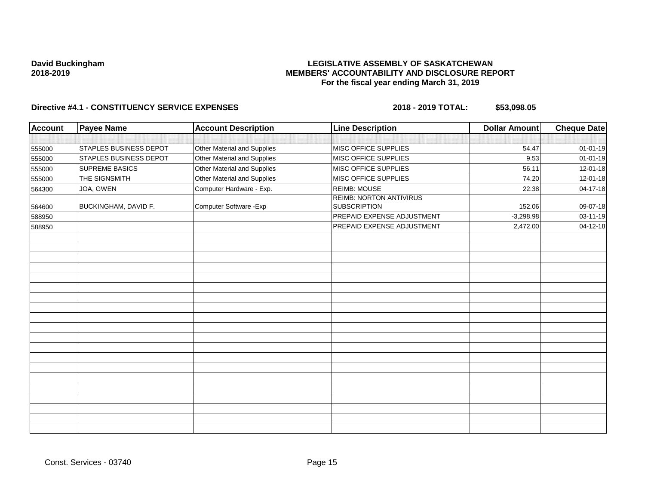## **LEGISLATIVE ASSEMBLY OF SASKATCHEWAN MEMBERS' ACCOUNTABILITY AND DISCLOSURE REPORT For the fiscal year ending March 31, 2019**

| <b>Account</b> | <b>Payee Name</b>             | <b>Account Description</b>  | <b>Line Description</b>                               | <b>Dollar Amount</b> | <b>Cheque Date</b> |
|----------------|-------------------------------|-----------------------------|-------------------------------------------------------|----------------------|--------------------|
|                |                               |                             |                                                       |                      |                    |
| 555000         | <b>STAPLES BUSINESS DEPOT</b> | Other Material and Supplies | MISC OFFICE SUPPLIES                                  | 54.47                | $01 - 01 - 19$     |
| 555000         | <b>STAPLES BUSINESS DEPOT</b> | Other Material and Supplies | MISC OFFICE SUPPLIES                                  | 9.53                 | $01 - 01 - 19$     |
| 555000         | <b>SUPREME BASICS</b>         | Other Material and Supplies | MISC OFFICE SUPPLIES                                  | 56.11                | 12-01-18           |
| 555000         | THE SIGNSMITH                 | Other Material and Supplies | MISC OFFICE SUPPLIES                                  | 74.20                | 12-01-18           |
| 564300         | JOA, GWEN                     | Computer Hardware - Exp.    | <b>REIMB: MOUSE</b>                                   | 22.38                | 04-17-18           |
| 564600         | <b>BUCKINGHAM, DAVID F.</b>   | Computer Software - Exp     | <b>REIMB: NORTON ANTIVIRUS</b><br><b>SUBSCRIPTION</b> | 152.06               | 09-07-18           |
| 588950         |                               |                             | PREPAID EXPENSE ADJUSTMENT                            | $-3,298.98$          | 03-11-19           |
| 588950         |                               |                             | PREPAID EXPENSE ADJUSTMENT                            | 2,472.00             | 04-12-18           |
|                |                               |                             |                                                       |                      |                    |
|                |                               |                             |                                                       |                      |                    |
|                |                               |                             |                                                       |                      |                    |
|                |                               |                             |                                                       |                      |                    |
|                |                               |                             |                                                       |                      |                    |
|                |                               |                             |                                                       |                      |                    |
|                |                               |                             |                                                       |                      |                    |
|                |                               |                             |                                                       |                      |                    |
|                |                               |                             |                                                       |                      |                    |
|                |                               |                             |                                                       |                      |                    |
|                |                               |                             |                                                       |                      |                    |
|                |                               |                             |                                                       |                      |                    |
|                |                               |                             |                                                       |                      |                    |
|                |                               |                             |                                                       |                      |                    |
|                |                               |                             |                                                       |                      |                    |
|                |                               |                             |                                                       |                      |                    |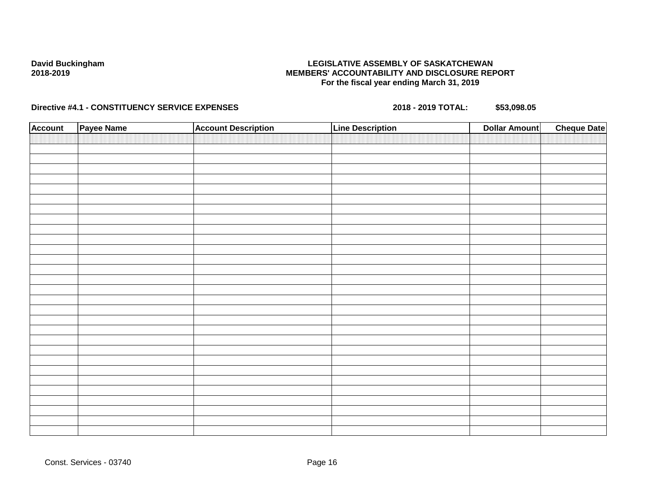## **LEGISLATIVE ASSEMBLY OF SASKATCHEWAN MEMBERS' ACCOUNTABILITY AND DISCLOSURE REPORT For the fiscal year ending March 31, 2019**

| <b>Account</b> | Payee Name | <b>Account Description</b> | <b>Line Description</b> | <b>Dollar Amount</b> | <b>Cheque Date</b> |
|----------------|------------|----------------------------|-------------------------|----------------------|--------------------|
|                |            |                            |                         |                      |                    |
|                |            |                            |                         |                      |                    |
|                |            |                            |                         |                      |                    |
|                |            |                            |                         |                      |                    |
|                |            |                            |                         |                      |                    |
|                |            |                            |                         |                      |                    |
|                |            |                            |                         |                      |                    |
|                |            |                            |                         |                      |                    |
|                |            |                            |                         |                      |                    |
|                |            |                            |                         |                      |                    |
|                |            |                            |                         |                      |                    |
|                |            |                            |                         |                      |                    |
|                |            |                            |                         |                      |                    |
|                |            |                            |                         |                      |                    |
|                |            |                            |                         |                      |                    |
|                |            |                            |                         |                      |                    |
|                |            |                            |                         |                      |                    |
|                |            |                            |                         |                      |                    |
|                |            |                            |                         |                      |                    |
|                |            |                            |                         |                      |                    |
|                |            |                            |                         |                      |                    |
|                |            |                            |                         |                      |                    |
|                |            |                            |                         |                      |                    |
|                |            |                            |                         |                      |                    |
|                |            |                            |                         |                      |                    |
|                |            |                            |                         |                      |                    |
|                |            |                            |                         |                      |                    |
|                |            |                            |                         |                      |                    |
|                |            |                            |                         |                      |                    |
|                |            |                            |                         |                      |                    |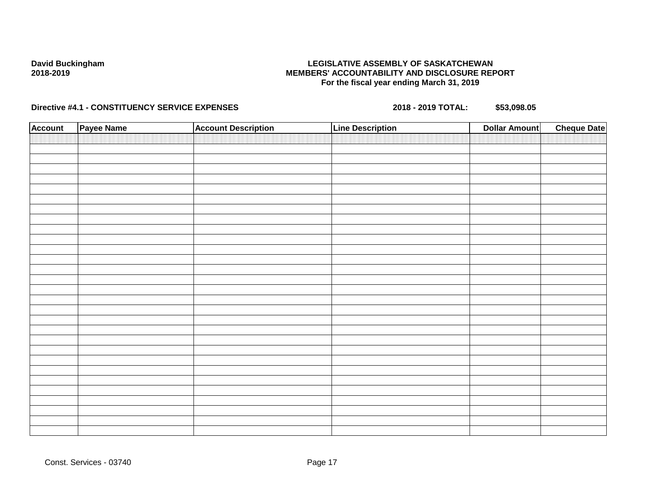## **LEGISLATIVE ASSEMBLY OF SASKATCHEWAN MEMBERS' ACCOUNTABILITY AND DISCLOSURE REPORT For the fiscal year ending March 31, 2019**

| <b>Account</b> | Payee Name | <b>Account Description</b> | <b>Line Description</b> | <b>Dollar Amount</b> | <b>Cheque Date</b> |
|----------------|------------|----------------------------|-------------------------|----------------------|--------------------|
|                |            |                            |                         |                      |                    |
|                |            |                            |                         |                      |                    |
|                |            |                            |                         |                      |                    |
|                |            |                            |                         |                      |                    |
|                |            |                            |                         |                      |                    |
|                |            |                            |                         |                      |                    |
|                |            |                            |                         |                      |                    |
|                |            |                            |                         |                      |                    |
|                |            |                            |                         |                      |                    |
|                |            |                            |                         |                      |                    |
|                |            |                            |                         |                      |                    |
|                |            |                            |                         |                      |                    |
|                |            |                            |                         |                      |                    |
|                |            |                            |                         |                      |                    |
|                |            |                            |                         |                      |                    |
|                |            |                            |                         |                      |                    |
|                |            |                            |                         |                      |                    |
|                |            |                            |                         |                      |                    |
|                |            |                            |                         |                      |                    |
|                |            |                            |                         |                      |                    |
|                |            |                            |                         |                      |                    |
|                |            |                            |                         |                      |                    |
|                |            |                            |                         |                      |                    |
|                |            |                            |                         |                      |                    |
|                |            |                            |                         |                      |                    |
|                |            |                            |                         |                      |                    |
|                |            |                            |                         |                      |                    |
|                |            |                            |                         |                      |                    |
|                |            |                            |                         |                      |                    |
|                |            |                            |                         |                      |                    |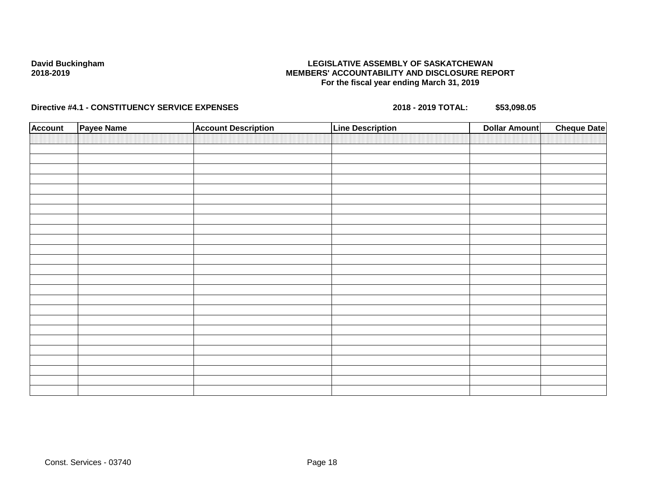## **LEGISLATIVE ASSEMBLY OF SASKATCHEWAN MEMBERS' ACCOUNTABILITY AND DISCLOSURE REPORT For the fiscal year ending March 31, 2019**

| <b>Account</b> | Payee Name | <b>Account Description</b> | <b>Line Description</b> | <b>Dollar Amount</b> | <b>Cheque Date</b> |
|----------------|------------|----------------------------|-------------------------|----------------------|--------------------|
|                |            |                            |                         |                      |                    |
|                |            |                            |                         |                      |                    |
|                |            |                            |                         |                      |                    |
|                |            |                            |                         |                      |                    |
|                |            |                            |                         |                      |                    |
|                |            |                            |                         |                      |                    |
|                |            |                            |                         |                      |                    |
|                |            |                            |                         |                      |                    |
|                |            |                            |                         |                      |                    |
|                |            |                            |                         |                      |                    |
|                |            |                            |                         |                      |                    |
|                |            |                            |                         |                      |                    |
|                |            |                            |                         |                      |                    |
|                |            |                            |                         |                      |                    |
|                |            |                            |                         |                      |                    |
|                |            |                            |                         |                      |                    |
|                |            |                            |                         |                      |                    |
|                |            |                            |                         |                      |                    |
|                |            |                            |                         |                      |                    |
|                |            |                            |                         |                      |                    |
|                |            |                            |                         |                      |                    |
|                |            |                            |                         |                      |                    |
|                |            |                            |                         |                      |                    |
|                |            |                            |                         |                      |                    |
|                |            |                            |                         |                      |                    |
|                |            |                            |                         |                      |                    |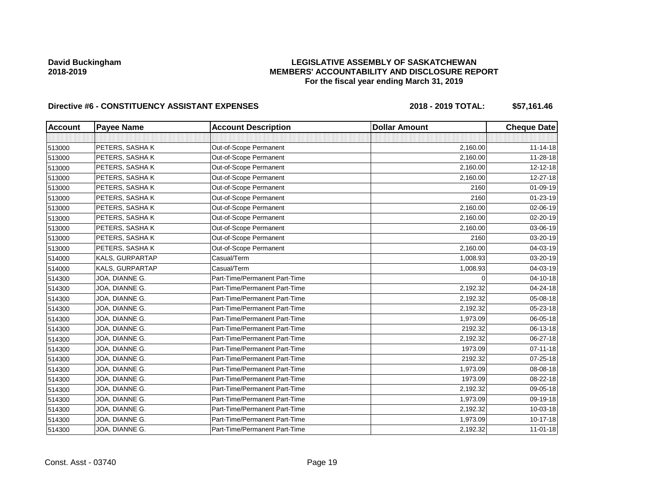## **LEGISLATIVE ASSEMBLY OF SASKATCHEWAN MEMBERS' ACCOUNTABILITY AND DISCLOSURE REPORT For the fiscal year ending March 31, 2019**

| <b>Account</b> | <b>Payee Name</b> | <b>Account Description</b>    | <b>Dollar Amount</b> | <b>Cheque Date</b> |
|----------------|-------------------|-------------------------------|----------------------|--------------------|
|                |                   |                               |                      |                    |
| 513000         | PETERS, SASHAK    | Out-of-Scope Permanent        | 2,160.00             | $11 - 14 - 18$     |
| 513000         | PETERS, SASHAK    | Out-of-Scope Permanent        | 2,160.00             | 11-28-18           |
| 513000         | PETERS, SASHA K   | Out-of-Scope Permanent        | 2,160.00             | 12-12-18           |
| 513000         | PETERS, SASHAK    | Out-of-Scope Permanent        | 2,160.00             | 12-27-18           |
| 513000         | PETERS, SASHAK    | Out-of-Scope Permanent        | 2160                 | 01-09-19           |
| 513000         | PETERS, SASHAK    | Out-of-Scope Permanent        | 2160                 | 01-23-19           |
| 513000         | PETERS, SASHAK    | Out-of-Scope Permanent        | 2,160.00             | 02-06-19           |
| 513000         | PETERS, SASHAK    | Out-of-Scope Permanent        | 2,160.00             | 02-20-19           |
| 513000         | PETERS, SASHAK    | Out-of-Scope Permanent        | 2,160.00             | 03-06-19           |
| 513000         | PETERS, SASHAK    | Out-of-Scope Permanent        | 2160                 | 03-20-19           |
| 513000         | PETERS, SASHAK    | Out-of-Scope Permanent        | 2,160.00             | 04-03-19           |
| 514000         | KALS, GURPARTAP   | Casual/Term                   | 1,008.93             | 03-20-19           |
| 514000         | KALS, GURPARTAP   | Casual/Term                   | 1,008.93             | 04-03-19           |
| 514300         | JOA, DIANNE G.    | Part-Time/Permanent Part-Time | $\Omega$             | 04-10-18           |
| 514300         | JOA, DIANNE G.    | Part-Time/Permanent Part-Time | 2,192.32             | 04-24-18           |
| 514300         | JOA, DIANNE G.    | Part-Time/Permanent Part-Time | 2,192.32             | 05-08-18           |
| 514300         | JOA, DIANNE G.    | Part-Time/Permanent Part-Time | 2,192.32             | 05-23-18           |
| 514300         | JOA, DIANNE G.    | Part-Time/Permanent Part-Time | 1,973.09             | 06-05-18           |
| 514300         | JOA, DIANNE G.    | Part-Time/Permanent Part-Time | 2192.32              | 06-13-18           |
| 514300         | JOA, DIANNE G.    | Part-Time/Permanent Part-Time | 2,192.32             | 06-27-18           |
| 514300         | JOA, DIANNE G.    | Part-Time/Permanent Part-Time | 1973.09              | $07 - 11 - 18$     |
| 514300         | JOA, DIANNE G.    | Part-Time/Permanent Part-Time | 2192.32              | 07-25-18           |
| 514300         | JOA, DIANNE G.    | Part-Time/Permanent Part-Time | 1,973.09             | 08-08-18           |
| 514300         | JOA, DIANNE G.    | Part-Time/Permanent Part-Time | 1973.09              | 08-22-18           |
| 514300         | JOA, DIANNE G.    | Part-Time/Permanent Part-Time | 2,192.32             | 09-05-18           |
| 514300         | JOA, DIANNE G.    | Part-Time/Permanent Part-Time | 1,973.09             | 09-19-18           |
| 514300         | JOA, DIANNE G.    | Part-Time/Permanent Part-Time | 2,192.32             | 10-03-18           |
| 514300         | JOA, DIANNE G.    | Part-Time/Permanent Part-Time | 1,973.09             | 10-17-18           |
| 514300         | JOA, DIANNE G.    | Part-Time/Permanent Part-Time | 2,192.32             | 11-01-18           |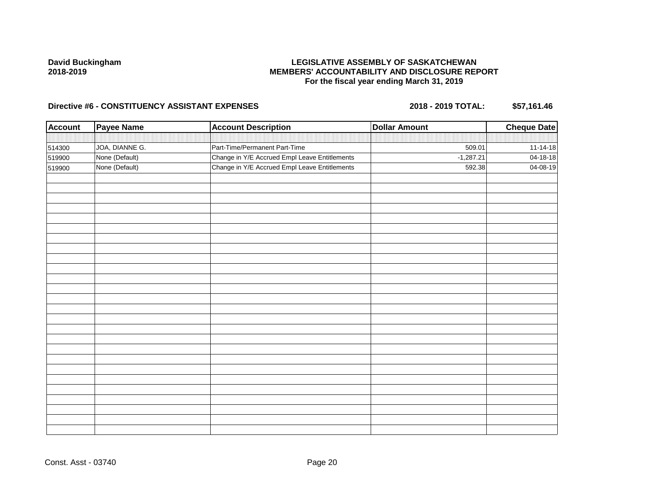## **LEGISLATIVE ASSEMBLY OF SASKATCHEWAN MEMBERS' ACCOUNTABILITY AND DISCLOSURE REPORT For the fiscal year ending March 31, 2019**

| <b>Account</b> | <b>Payee Name</b> | <b>Account Description</b>                    | <b>Dollar Amount</b> | <b>Cheque Date</b> |
|----------------|-------------------|-----------------------------------------------|----------------------|--------------------|
|                |                   |                                               |                      |                    |
| 514300         | JOA, DIANNE G.    | Part-Time/Permanent Part-Time                 | 509.01               | $11 - 14 - 18$     |
| 519900         | None (Default)    | Change in Y/E Accrued Empl Leave Entitlements | $-1,287.21$          | 04-18-18           |
| 519900         | None (Default)    | Change in Y/E Accrued Empl Leave Entitlements | 592.38               | 04-08-19           |
|                |                   |                                               |                      |                    |
|                |                   |                                               |                      |                    |
|                |                   |                                               |                      |                    |
|                |                   |                                               |                      |                    |
|                |                   |                                               |                      |                    |
|                |                   |                                               |                      |                    |
|                |                   |                                               |                      |                    |
|                |                   |                                               |                      |                    |
|                |                   |                                               |                      |                    |
|                |                   |                                               |                      |                    |
|                |                   |                                               |                      |                    |
|                |                   |                                               |                      |                    |
|                |                   |                                               |                      |                    |
|                |                   |                                               |                      |                    |
|                |                   |                                               |                      |                    |
|                |                   |                                               |                      |                    |
|                |                   |                                               |                      |                    |
|                |                   |                                               |                      |                    |
|                |                   |                                               |                      |                    |
|                |                   |                                               |                      |                    |
|                |                   |                                               |                      |                    |
|                |                   |                                               |                      |                    |
|                |                   |                                               |                      |                    |
|                |                   |                                               |                      |                    |
|                |                   |                                               |                      |                    |
|                |                   |                                               |                      |                    |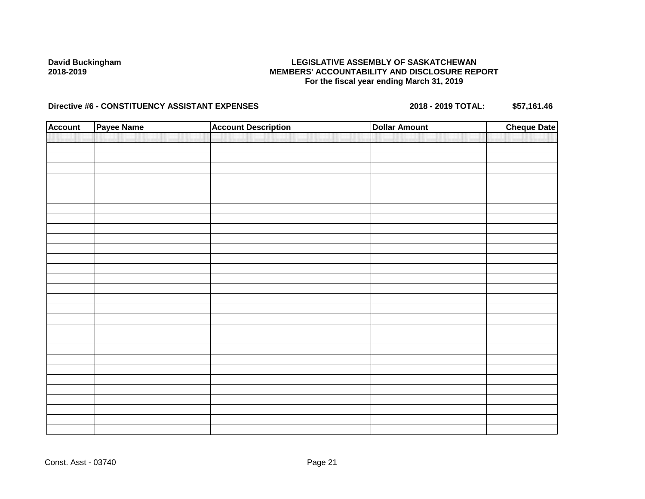## **LEGISLATIVE ASSEMBLY OF SASKATCHEWAN MEMBERS' ACCOUNTABILITY AND DISCLOSURE REPORT For the fiscal year ending March 31, 2019**

| <b>Account</b> | Payee Name | <b>Account Description</b> | <b>Dollar Amount</b> | <b>Cheque Date</b> |
|----------------|------------|----------------------------|----------------------|--------------------|
|                |            |                            |                      |                    |
|                |            |                            |                      |                    |
|                |            |                            |                      |                    |
|                |            |                            |                      |                    |
|                |            |                            |                      |                    |
|                |            |                            |                      |                    |
|                |            |                            |                      |                    |
|                |            |                            |                      |                    |
|                |            |                            |                      |                    |
|                |            |                            |                      |                    |
|                |            |                            |                      |                    |
|                |            |                            |                      |                    |
|                |            |                            |                      |                    |
|                |            |                            |                      |                    |
|                |            |                            |                      |                    |
|                |            |                            |                      |                    |
|                |            |                            |                      |                    |
|                |            |                            |                      |                    |
|                |            |                            |                      |                    |
|                |            |                            |                      |                    |
|                |            |                            |                      |                    |
|                |            |                            |                      |                    |
|                |            |                            |                      |                    |
|                |            |                            |                      |                    |
|                |            |                            |                      |                    |
|                |            |                            |                      |                    |
|                |            |                            |                      |                    |
|                |            |                            |                      |                    |
|                |            |                            |                      |                    |
|                |            |                            |                      |                    |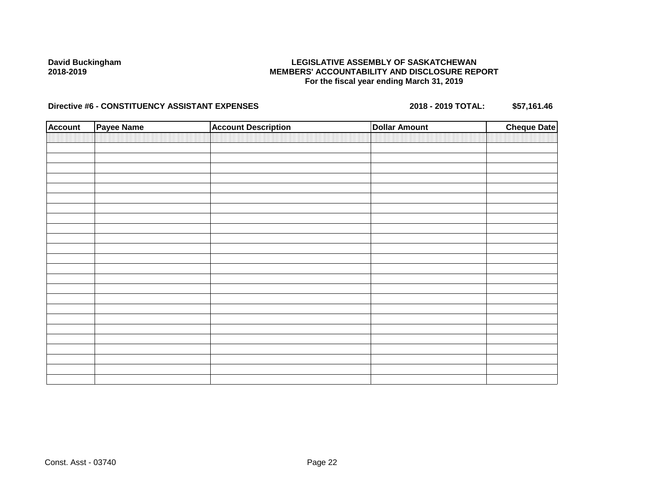## **LEGISLATIVE ASSEMBLY OF SASKATCHEWAN MEMBERS' ACCOUNTABILITY AND DISCLOSURE REPORT For the fiscal year ending March 31, 2019**

| <b>Account</b> | <b>Payee Name</b> | <b>Account Description</b> | <b>Dollar Amount</b> | <b>Cheque Date</b> |
|----------------|-------------------|----------------------------|----------------------|--------------------|
|                |                   |                            |                      |                    |
|                |                   |                            |                      |                    |
|                |                   |                            |                      |                    |
|                |                   |                            |                      |                    |
|                |                   |                            |                      |                    |
|                |                   |                            |                      |                    |
|                |                   |                            |                      |                    |
|                |                   |                            |                      |                    |
|                |                   |                            |                      |                    |
|                |                   |                            |                      |                    |
|                |                   |                            |                      |                    |
|                |                   |                            |                      |                    |
|                |                   |                            |                      |                    |
|                |                   |                            |                      |                    |
|                |                   |                            |                      |                    |
|                |                   |                            |                      |                    |
|                |                   |                            |                      |                    |
|                |                   |                            |                      |                    |
|                |                   |                            |                      |                    |
|                |                   |                            |                      |                    |
|                |                   |                            |                      |                    |
|                |                   |                            |                      |                    |
|                |                   |                            |                      |                    |
|                |                   |                            |                      |                    |